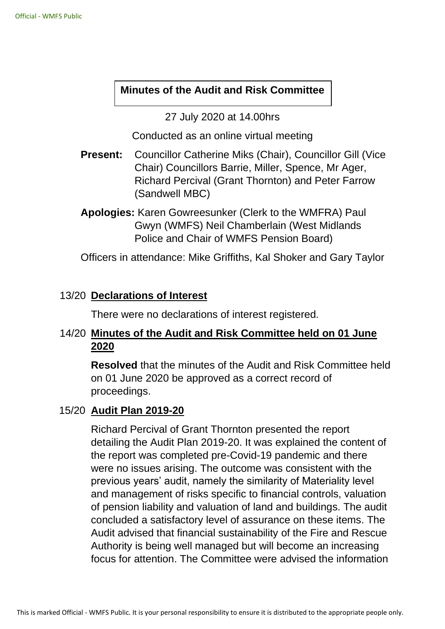### **Minutes of the Audit and Risk Committee**

27 July 2020 at 14.00hrs

Conducted as an online virtual meeting

- **Present:** Councillor Catherine Miks (Chair), Councillor Gill (Vice Chair) Councillors Barrie, Miller, Spence, Mr Ager, Richard Percival (Grant Thornton) and Peter Farrow (Sandwell MBC)
- **Apologies:** Karen Gowreesunker (Clerk to the WMFRA) Paul Gwyn (WMFS) Neil Chamberlain (West Midlands Police and Chair of WMFS Pension Board)

Officers in attendance: Mike Griffiths, Kal Shoker and Gary Taylor

## 13/20 **Declarations of Interest**

There were no declarations of interest registered.

# 14/20 **Minutes of the Audit and Risk Committee held on 01 June 2020**

**Resolved** that the minutes of the Audit and Risk Committee held on 01 June 2020 be approved as a correct record of proceedings.

## 15/20 **Audit Plan 2019-20**

Richard Percival of Grant Thornton presented the report detailing the Audit Plan 2019-20. It was explained the content of the report was completed pre-Covid-19 pandemic and there were no issues arising. The outcome was consistent with the previous years' audit, namely the similarity of Materiality level and management of risks specific to financial controls, valuation of pension liability and valuation of land and buildings. The audit concluded a satisfactory level of assurance on these items. The Audit advised that financial sustainability of the Fire and Rescue Authority is being well managed but will become an increasing focus for attention. The Committee were advised the information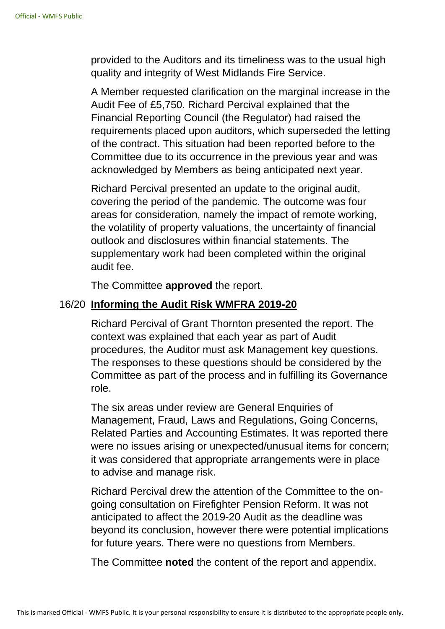provided to the Auditors and its timeliness was to the usual high quality and integrity of West Midlands Fire Service.

A Member requested clarification on the marginal increase in the Audit Fee of £5,750. Richard Percival explained that the Financial Reporting Council (the Regulator) had raised the requirements placed upon auditors, which superseded the letting of the contract. This situation had been reported before to the Committee due to its occurrence in the previous year and was acknowledged by Members as being anticipated next year.

Richard Percival presented an update to the original audit, covering the period of the pandemic. The outcome was four areas for consideration, namely the impact of remote working, the volatility of property valuations, the uncertainty of financial outlook and disclosures within financial statements. The supplementary work had been completed within the original audit fee.

The Committee **approved** the report.

#### 16/20 **Informing the Audit Risk WMFRA 2019-20**

Richard Percival of Grant Thornton presented the report. The context was explained that each year as part of Audit procedures, the Auditor must ask Management key questions. The responses to these questions should be considered by the Committee as part of the process and in fulfilling its Governance role.

The six areas under review are General Enquiries of Management, Fraud, Laws and Regulations, Going Concerns, Related Parties and Accounting Estimates. It was reported there were no issues arising or unexpected/unusual items for concern; it was considered that appropriate arrangements were in place to advise and manage risk.

Richard Percival drew the attention of the Committee to the ongoing consultation on Firefighter Pension Reform. It was not anticipated to affect the 2019-20 Audit as the deadline was beyond its conclusion, however there were potential implications for future years. There were no questions from Members.

The Committee **noted** the content of the report and appendix.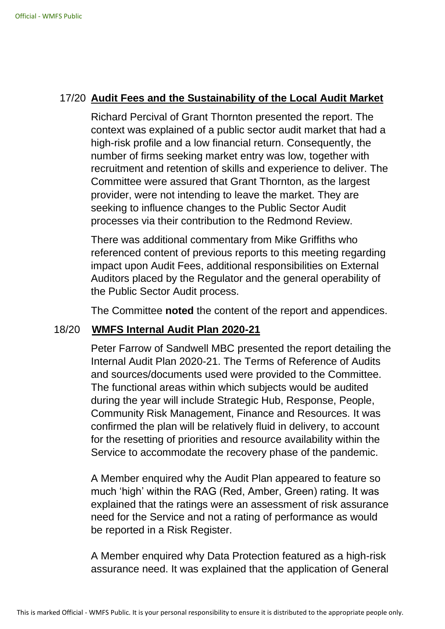# 17/20 **Audit Fees and the Sustainability of the Local Audit Market**

Richard Percival of Grant Thornton presented the report. The context was explained of a public sector audit market that had a high-risk profile and a low financial return. Consequently, the number of firms seeking market entry was low, together with recruitment and retention of skills and experience to deliver. The Committee were assured that Grant Thornton, as the largest provider, were not intending to leave the market. They are seeking to influence changes to the Public Sector Audit processes via their contribution to the Redmond Review.

There was additional commentary from Mike Griffiths who referenced content of previous reports to this meeting regarding impact upon Audit Fees, additional responsibilities on External Auditors placed by the Regulator and the general operability of the Public Sector Audit process.

The Committee **noted** the content of the report and appendices.

## 18/20 **WMFS Internal Audit Plan 2020-21**

Peter Farrow of Sandwell MBC presented the report detailing the Internal Audit Plan 2020-21. The Terms of Reference of Audits and sources/documents used were provided to the Committee. The functional areas within which subjects would be audited during the year will include Strategic Hub, Response, People, Community Risk Management, Finance and Resources. It was confirmed the plan will be relatively fluid in delivery, to account for the resetting of priorities and resource availability within the Service to accommodate the recovery phase of the pandemic.

A Member enquired why the Audit Plan appeared to feature so much 'high' within the RAG (Red, Amber, Green) rating. It was explained that the ratings were an assessment of risk assurance need for the Service and not a rating of performance as would be reported in a Risk Register.

A Member enquired why Data Protection featured as a high-risk assurance need. It was explained that the application of General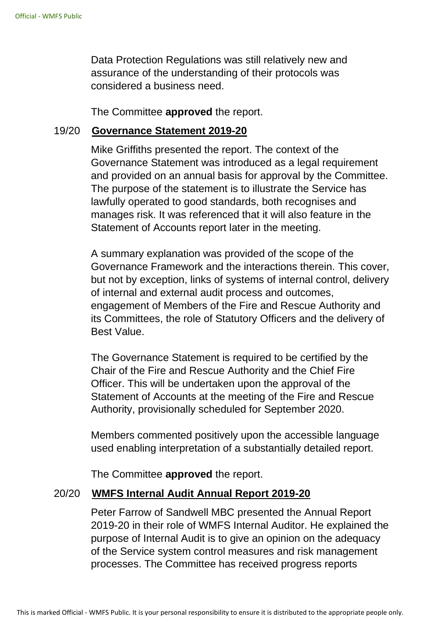Data Protection Regulations was still relatively new and assurance of the understanding of their protocols was considered a business need.

The Committee **approved** the report.

#### 19/20 **Governance Statement 2019-20**

Mike Griffiths presented the report. The context of the Governance Statement was introduced as a legal requirement and provided on an annual basis for approval by the Committee. The purpose of the statement is to illustrate the Service has lawfully operated to good standards, both recognises and manages risk. It was referenced that it will also feature in the Statement of Accounts report later in the meeting.

A summary explanation was provided of the scope of the Governance Framework and the interactions therein. This cover, but not by exception, links of systems of internal control, delivery of internal and external audit process and outcomes, engagement of Members of the Fire and Rescue Authority and its Committees, the role of Statutory Officers and the delivery of Best Value.

The Governance Statement is required to be certified by the Chair of the Fire and Rescue Authority and the Chief Fire Officer. This will be undertaken upon the approval of the Statement of Accounts at the meeting of the Fire and Rescue Authority, provisionally scheduled for September 2020.

Members commented positively upon the accessible language used enabling interpretation of a substantially detailed report.

The Committee **approved** the report.

#### 20/20 **WMFS Internal Audit Annual Report 2019-20**

Peter Farrow of Sandwell MBC presented the Annual Report 2019-20 in their role of WMFS Internal Auditor. He explained the purpose of Internal Audit is to give an opinion on the adequacy of the Service system control measures and risk management processes. The Committee has received progress reports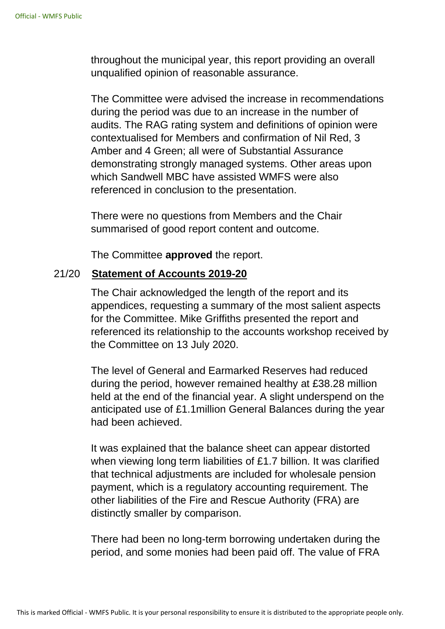throughout the municipal year, this report providing an overall unqualified opinion of reasonable assurance.

The Committee were advised the increase in recommendations during the period was due to an increase in the number of audits. The RAG rating system and definitions of opinion were contextualised for Members and confirmation of Nil Red, 3 Amber and 4 Green; all were of Substantial Assurance demonstrating strongly managed systems. Other areas upon which Sandwell MBC have assisted WMFS were also referenced in conclusion to the presentation.

There were no questions from Members and the Chair summarised of good report content and outcome.

The Committee **approved** the report.

### 21/20 **Statement of Accounts 2019-20**

The Chair acknowledged the length of the report and its appendices, requesting a summary of the most salient aspects for the Committee. Mike Griffiths presented the report and referenced its relationship to the accounts workshop received by the Committee on 13 July 2020.

The level of General and Earmarked Reserves had reduced during the period, however remained healthy at £38.28 million held at the end of the financial year. A slight underspend on the anticipated use of £1.1million General Balances during the year had been achieved.

It was explained that the balance sheet can appear distorted when viewing long term liabilities of £1.7 billion. It was clarified that technical adjustments are included for wholesale pension payment, which is a regulatory accounting requirement. The other liabilities of the Fire and Rescue Authority (FRA) are distinctly smaller by comparison.

There had been no long-term borrowing undertaken during the period, and some monies had been paid off. The value of FRA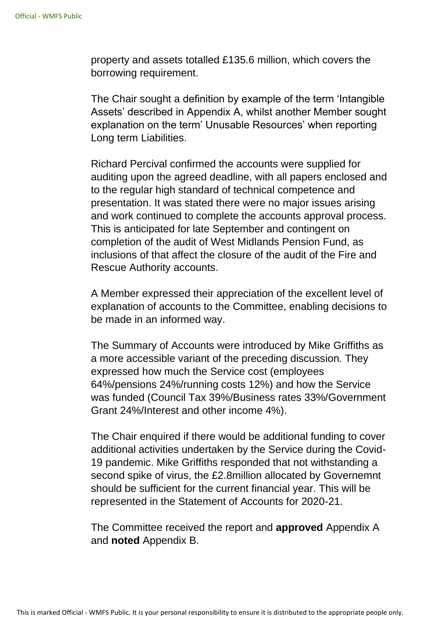property and assets totalled £135.6 million, which covers the borrowing requirement.

The Chair sought a definition by example of the term 'Intangible Assets' described in Appendix A, whilst another Member sought explanation on the term' Unusable Resources' when reporting Long term Liabilities.

Richard Percival confirmed the accounts were supplied for auditing upon the agreed deadline, with all papers enclosed and to the regular high standard of technical competence and presentation. It was stated there were no major issues arising and work continued to complete the accounts approval process. This is anticipated for late September and contingent on completion of the audit of West Midlands Pension Fund, as inclusions of that affect the closure of the audit of the Fire and Rescue Authority accounts.

A Member expressed their appreciation of the excellent level of explanation of accounts to the Committee, enabling decisions to be made in an informed way.

The Summary of Accounts were introduced by Mike Griffiths as a more accessible variant of the preceding discussion. They expressed how much the Service cost (employees 64%/pensions 24%/running costs 12%) and how the Service was funded (Council Tax 39%/Business rates 33%/Government Grant 24%/Interest and other income 4%).

The Chair enquired if there would be additional funding to cover additional activities undertaken by the Service during the Covid-19 pandemic. Mike Griffiths responded that not withstanding a second spike of virus, the £2.8million allocated by Governemnt should be sufficient for the current financial year. This will be represented in the Statement of Accounts for 2020-21.

The Committee received the report and **approved** Appendix A and **noted** Appendix B.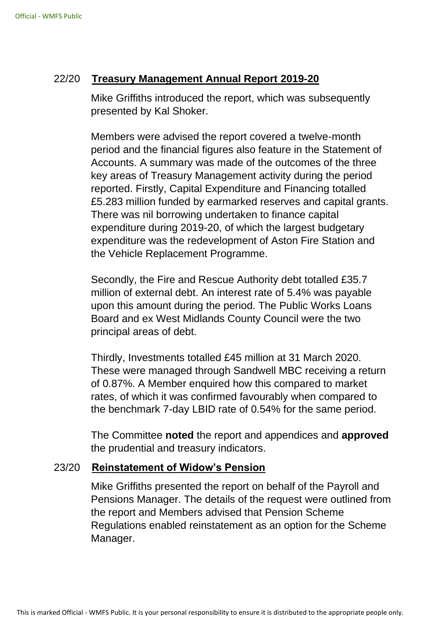## 22/20 **Treasury Management Annual Report 2019-20**

Mike Griffiths introduced the report, which was subsequently presented by Kal Shoker.

Members were advised the report covered a twelve-month period and the financial figures also feature in the Statement of Accounts. A summary was made of the outcomes of the three key areas of Treasury Management activity during the period reported. Firstly, Capital Expenditure and Financing totalled £5.283 million funded by earmarked reserves and capital grants. There was nil borrowing undertaken to finance capital expenditure during 2019-20, of which the largest budgetary expenditure was the redevelopment of Aston Fire Station and the Vehicle Replacement Programme.

Secondly, the Fire and Rescue Authority debt totalled £35.7 million of external debt. An interest rate of 5.4% was payable upon this amount during the period. The Public Works Loans Board and ex West Midlands County Council were the two principal areas of debt.

Thirdly, Investments totalled £45 million at 31 March 2020. These were managed through Sandwell MBC receiving a return of 0.87%. A Member enquired how this compared to market rates, of which it was confirmed favourably when compared to the benchmark 7-day LBID rate of 0.54% for the same period.

The Committee **noted** the report and appendices and **approved** the prudential and treasury indicators.

### 23/20 **Reinstatement of Widow's Pension**

Mike Griffiths presented the report on behalf of the Payroll and Pensions Manager. The details of the request were outlined from the report and Members advised that Pension Scheme Regulations enabled reinstatement as an option for the Scheme Manager.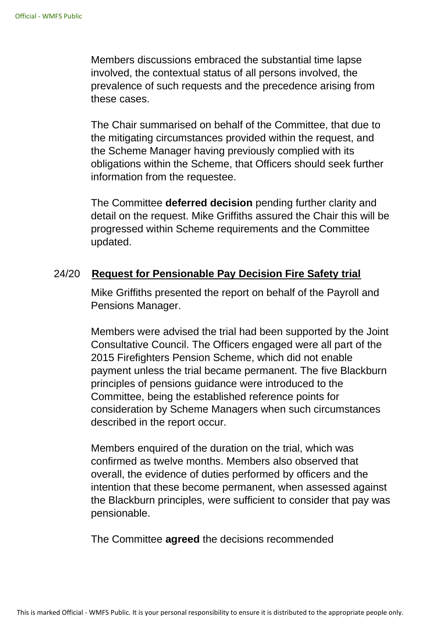Members discussions embraced the substantial time lapse involved, the contextual status of all persons involved, the prevalence of such requests and the precedence arising from these cases.

The Chair summarised on behalf of the Committee, that due to the mitigating circumstances provided within the request, and the Scheme Manager having previously complied with its obligations within the Scheme, that Officers should seek further information from the requestee.

The Committee **deferred decision** pending further clarity and detail on the request. Mike Griffiths assured the Chair this will be progressed within Scheme requirements and the Committee updated.

## 24/20 **Request for Pensionable Pay Decision Fire Safety trial**

Mike Griffiths presented the report on behalf of the Payroll and Pensions Manager.

Members were advised the trial had been supported by the Joint Consultative Council. The Officers engaged were all part of the 2015 Firefighters Pension Scheme, which did not enable payment unless the trial became permanent. The five Blackburn principles of pensions guidance were introduced to the Committee, being the established reference points for consideration by Scheme Managers when such circumstances described in the report occur.

Members enquired of the duration on the trial, which was confirmed as twelve months. Members also observed that overall, the evidence of duties performed by officers and the intention that these become permanent, when assessed against the Blackburn principles, were sufficient to consider that pay was pensionable.

The Committee **agreed** the decisions recommended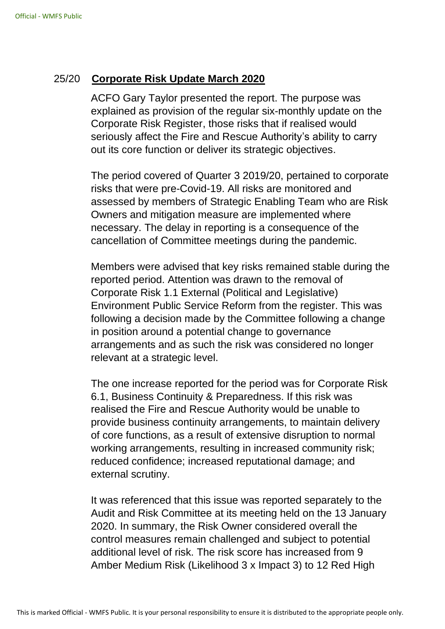### 25/20 **Corporate Risk Update March 2020**

ACFO Gary Taylor presented the report. The purpose was explained as provision of the regular six-monthly update on the Corporate Risk Register, those risks that if realised would seriously affect the Fire and Rescue Authority's ability to carry out its core function or deliver its strategic objectives.

The period covered of Quarter 3 2019/20, pertained to corporate risks that were pre-Covid-19. All risks are monitored and assessed by members of Strategic Enabling Team who are Risk Owners and mitigation measure are implemented where necessary. The delay in reporting is a consequence of the cancellation of Committee meetings during the pandemic.

Members were advised that key risks remained stable during the reported period. Attention was drawn to the removal of Corporate Risk 1.1 External (Political and Legislative) Environment Public Service Reform from the register. This was following a decision made by the Committee following a change in position around a potential change to governance arrangements and as such the risk was considered no longer relevant at a strategic level.

The one increase reported for the period was for Corporate Risk 6.1, Business Continuity & Preparedness. If this risk was realised the Fire and Rescue Authority would be unable to provide business continuity arrangements, to maintain delivery of core functions, as a result of extensive disruption to normal working arrangements, resulting in increased community risk; reduced confidence; increased reputational damage; and external scrutiny.

It was referenced that this issue was reported separately to the Audit and Risk Committee at its meeting held on the 13 January 2020. In summary, the Risk Owner considered overall the control measures remain challenged and subject to potential additional level of risk. The risk score has increased from 9 Amber Medium Risk (Likelihood 3 x Impact 3) to 12 Red High